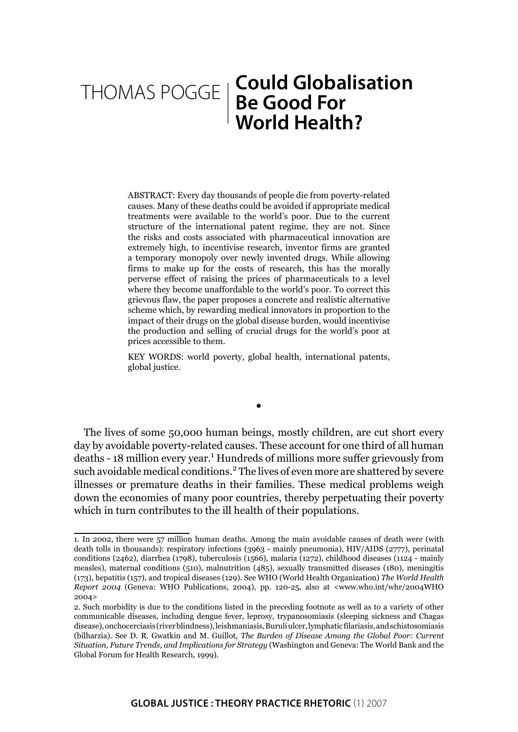# THOMAS POGGE | **Could Globalisation Be Good For World Health?**

Abstract: Every day thousands of people die from poverty-related causes. Many of these deaths could be avoided if appropriate medical treatments were available to the world's poor. Due to the current structure of the international patent regime, they are not. Since the risks and costs associated with pharmaceutical innovation are extremely high, to incentivise research, inventor firms are granted a temporary monopoly over newly invented drugs. While allowing firms to make up for the costs of research, this has the morally perverse effect of raising the prices of pharmaceuticals to a level where they become unaffordable to the world's poor. To correct this grievous flaw, the paper proposes a concrete and realistic alternative scheme which, by rewarding medical innovators in proportion to the impact of their drugs on the global disease burden, would incentivise the production and selling of crucial drugs for the world's poor at prices accessible to them.

KEY WORDS: world poverty, global health, international patents, global justice.

•

The lives of some 50,000 human beings, mostly children, are cut short every day by avoidable poverty-related causes. These account for one third of all human deaths - 18 million every year.<sup>1</sup> Hundreds of millions more suffer grievously from such avoidable medical conditions.<sup>2</sup> The lives of even more are shattered by severe illnesses or premature deaths in their families. These medical problems weigh down the economies of many poor countries, thereby perpetuating their poverty which in turn contributes to the ill health of their populations.

<sup>1.</sup> In 2002, there were 57 million human deaths. Among the main avoidable causes of death were (with death tolls in thousands): respiratory infections (3963 - mainly pneumonia), HIV/AIDS (2777), perinatal conditions (2462), diarrhea (1798), tuberculosis (1566), malaria (1272), childhood diseases (1124 - mainly measles), maternal conditions (510), malnutrition (485), sexually transmitted diseases (180), meningitis (173), hepatitis (157), and tropical diseases (129). See WHO (World Health Organization) *The World Health Report 2004* (Geneva: WHO Publications, 2004), pp. 120-25, also at <www.who.int/whr/2004WHO 2004>

<sup>2.</sup> Such morbidity is due to the conditions listed in the preceding footnote as well as to a variety of other communicable diseases, including dengue fever, leprosy, trypanosomiasis (sleeping sickness and Chagas disease), onchocerciasis (river blindness), leishmaniasis, Buruli ulcer, lymphatic filariasis, and schistosomiasis (bilharzia). See D. R. Gwatkin and M. Guillot, *The Burden of Disease Among the Global Poor: Current Situation, Future Trends, and Implications for Strategy* (Washington and Geneva: The World Bank and the Global Forum for Health Research, 1999).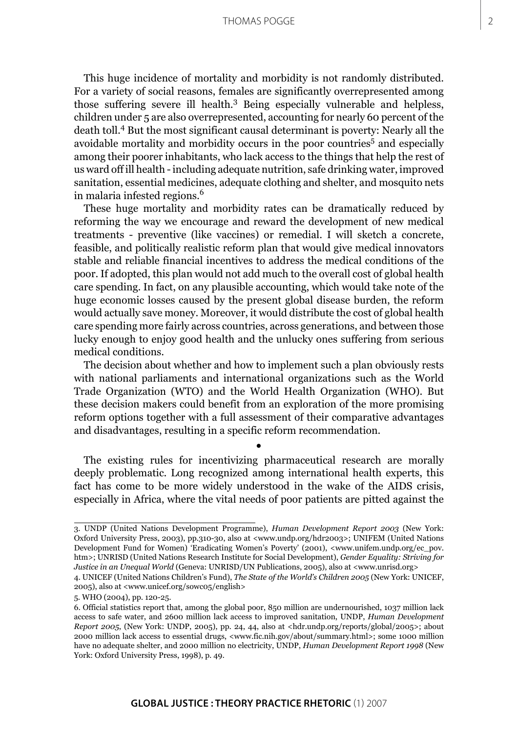## Thomas Pogge

This huge incidence of mortality and morbidity is not randomly distributed. For a variety of social reasons, females are significantly overrepresented among those suffering severe ill health.<sup>3</sup> Being especially vulnerable and helpless, children under 5 are also overrepresented, accounting for nearly 60 percent of the death toll.<sup>4</sup> But the most significant causal determinant is poverty: Nearly all the avoidable mortality and morbidity occurs in the poor countries<sup>5</sup> and especially among their poorer inhabitants, who lack access to the things that help the rest of us ward off ill health - including adequate nutrition, safe drinking water, improved sanitation, essential medicines, adequate clothing and shelter, and mosquito nets in malaria infested regions.<sup>6</sup>

These huge mortality and morbidity rates can be dramatically reduced by reforming the way we encourage and reward the development of new medical treatments - preventive (like vaccines) or remedial. I will sketch a concrete, feasible, and politically realistic reform plan that would give medical innovators stable and reliable financial incentives to address the medical conditions of the poor. If adopted, this plan would not add much to the overall cost of global health care spending. In fact, on any plausible accounting, which would take note of the huge economic losses caused by the present global disease burden, the reform would actually save money. Moreover, it would distribute the cost of global health care spending more fairly across countries, across generations, and between those lucky enough to enjoy good health and the unlucky ones suffering from serious medical conditions.

The decision about whether and how to implement such a plan obviously rests with national parliaments and international organizations such as the World Trade Organization (WTO) and the World Health Organization (WHO). But these decision makers could benefit from an exploration of the more promising reform options together with a full assessment of their comparative advantages and disadvantages, resulting in a specific reform recommendation.

The existing rules for incentivizing pharmaceutical research are morally deeply problematic. Long recognized among international health experts, this fact has come to be more widely understood in the wake of the AIDS crisis, especially in Africa, where the vital needs of poor patients are pitted against the

•

<sup>3.</sup> UNDP (United Nations Development Programme), *Human Development Report 2003* (New York: Oxford University Press, 2003), pp.310-30, also at <www.undp.org/hdr2003>; UNIFEM (United Nations Development Fund for Women) 'Eradicating Women's Poverty' (2001), <www.unifem.undp.org/ec\_pov. htm>; UNRISD (United Nations Research Institute for Social Development), *Gender Equality: Striving for Justice in an Unequal World* (Geneva: UNRISD/UN Publications, 2005), also at <www.unrisd.org>

<sup>4.</sup> UNICEF (United Nations Children's Fund), *The State of the World's Children 2005* (New York: UNICEF, 2005), also at <www.unicef.org/sowc05/english>

<sup>5.</sup> WHO (2004), pp. 120-25.

<sup>6.</sup> Official statistics report that, among the global poor, 850 million are undernourished, 1037 million lack access to safe water, and 2600 million lack access to improved sanitation, UNDP, *Human Development Report 2005*, (New York: UNDP, 2005), pp. 24, 44, also at <hdr.undp.org/reports/global/2005>; about 2000 million lack access to essential drugs, <www.fic.nih.gov/about/summary.html>; some 1000 million have no adequate shelter, and 2000 million no electricity, UNDP, *Human Development Report 1998* (New York: Oxford University Press, 1998), p. 49.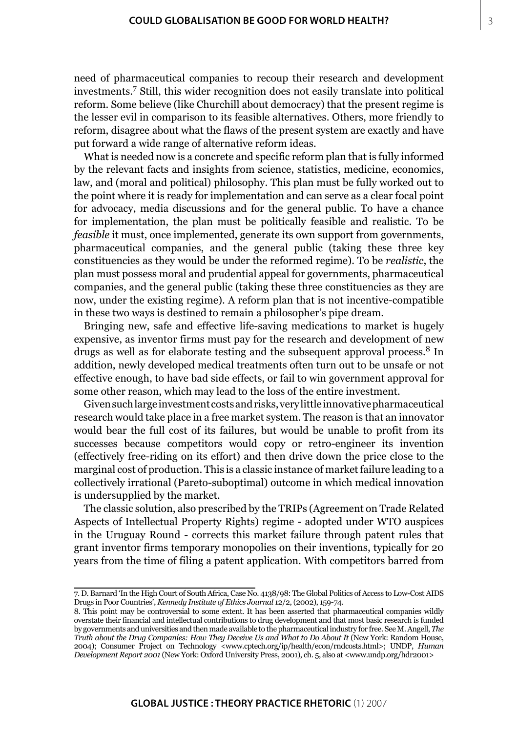need of pharmaceutical companies to recoup their research and development investments.<sup>7</sup> Still, this wider recognition does not easily translate into political reform. Some believe (like Churchill about democracy) that the present regime is the lesser evil in comparison to its feasible alternatives. Others, more friendly to reform, disagree about what the flaws of the present system are exactly and have put forward a wide range of alternative reform ideas.

What is needed now is a concrete and specific reform plan that is fully informed by the relevant facts and insights from science, statistics, medicine, economics, law, and (moral and political) philosophy. This plan must be fully worked out to the point where it is ready for implementation and can serve as a clear focal point for advocacy, media discussions and for the general public. To have a chance for implementation, the plan must be politically feasible and realistic. To be *feasible* it must, once implemented, generate its own support from governments, pharmaceutical companies, and the general public (taking these three key constituencies as they would be under the reformed regime). To be *realistic*, the plan must possess moral and prudential appeal for governments, pharmaceutical companies, and the general public (taking these three constituencies as they are now, under the existing regime). A reform plan that is not incentive-compatible in these two ways is destined to remain a philosopher's pipe dream.

Bringing new, safe and effective life-saving medications to market is hugely expensive, as inventor firms must pay for the research and development of new drugs as well as for elaborate testing and the subsequent approval process.<sup>8</sup> In addition, newly developed medical treatments often turn out to be unsafe or not effective enough, to have bad side effects, or fail to win government approval for some other reason, which may lead to the loss of the entire investment.

Given such large investment costs and risks, very little innovative pharmaceutical research would take place in a free market system. The reason is that an innovator would bear the full cost of its failures, but would be unable to profit from its successes because competitors would copy or retro-engineer its invention (effectively free-riding on its effort) and then drive down the price close to the marginal cost of production. This is a classic instance of market failure leading to a collectively irrational (Pareto-suboptimal) outcome in which medical innovation is undersupplied by the market.

The classic solution, also prescribed by the TRIPs (Agreement on Trade Related Aspects of Intellectual Property Rights) regime - adopted under WTO auspices in the Uruguay Round - corrects this market failure through patent rules that grant inventor firms temporary monopolies on their inventions, typically for 20 years from the time of filing a patent application. With competitors barred from

<sup>7.</sup> D. Barnard 'In the High Court of South Africa, Case No. 4138/98: The Global Politics of Access to Low-Cost AIDS Drugs in Poor Countries', *Kennedy Institute of Ethics Journal* 12/2, (2002), 159-74.

<sup>8.</sup> This point may be controversial to some extent. It has been asserted that pharmaceutical companies wildly overstate their financial and intellectual contributions to drug development and that most basic research is funded by governments and universities and then made available to the pharmaceutical industry for free. See M. Angell, *The Truth about the Drug Companies: How They Deceive Us and What to Do About It* (New York: Random House, 2004); Consumer Project on Technology <www.cptech.org/ip/health/econ/rndcosts.html>; UNDP, *Human Development Report 2001* (New York: Oxford University Press, 2001), ch. 5, also at <www.undp.org/hdr2001>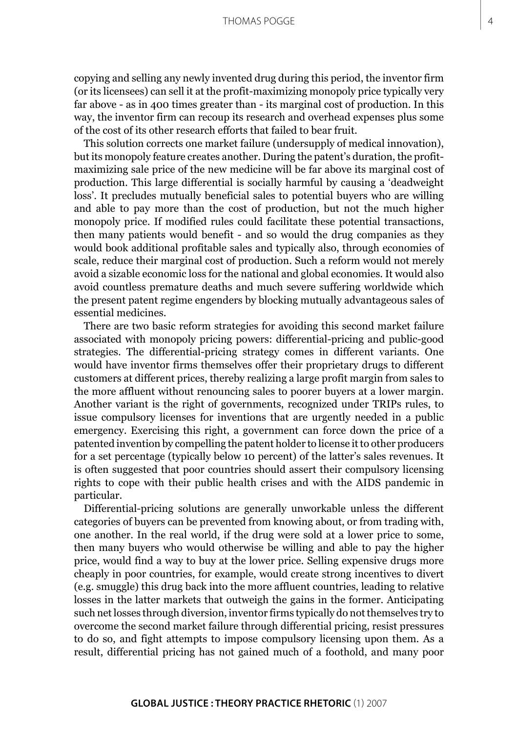## Thomas Pogge

copying and selling any newly invented drug during this period, the inventor firm (or its licensees) can sell it at the profit-maximizing monopoly price typically very far above - as in 400 times greater than - its marginal cost of production. In this way, the inventor firm can recoup its research and overhead expenses plus some of the cost of its other research efforts that failed to bear fruit.

This solution corrects one market failure (undersupply of medical innovation), but its monopoly feature creates another. During the patent's duration, the profitmaximizing sale price of the new medicine will be far above its marginal cost of production. This large differential is socially harmful by causing a 'deadweight loss'. It precludes mutually beneficial sales to potential buyers who are willing and able to pay more than the cost of production, but not the much higher monopoly price. If modified rules could facilitate these potential transactions, then many patients would benefit - and so would the drug companies as they would book additional profitable sales and typically also, through economies of scale, reduce their marginal cost of production. Such a reform would not merely avoid a sizable economic loss for the national and global economies. It would also avoid countless premature deaths and much severe suffering worldwide which the present patent regime engenders by blocking mutually advantageous sales of essential medicines.

There are two basic reform strategies for avoiding this second market failure associated with monopoly pricing powers: differential-pricing and public-good strategies. The differential-pricing strategy comes in different variants. One would have inventor firms themselves offer their proprietary drugs to different customers at different prices, thereby realizing a large profit margin from sales to the more affluent without renouncing sales to poorer buyers at a lower margin. Another variant is the right of governments, recognized under TRIPs rules, to issue compulsory licenses for inventions that are urgently needed in a public emergency. Exercising this right, a government can force down the price of a patented invention by compelling the patent holder to license it to other producers for a set percentage (typically below 10 percent) of the latter's sales revenues. It is often suggested that poor countries should assert their compulsory licensing rights to cope with their public health crises and with the AIDS pandemic in particular.

Differential-pricing solutions are generally unworkable unless the different categories of buyers can be prevented from knowing about, or from trading with, one another. In the real world, if the drug were sold at a lower price to some, then many buyers who would otherwise be willing and able to pay the higher price, would find a way to buy at the lower price. Selling expensive drugs more cheaply in poor countries, for example, would create strong incentives to divert (e.g. smuggle) this drug back into the more affluent countries, leading to relative losses in the latter markets that outweigh the gains in the former. Anticipating such net losses through diversion, inventor firms typically do not themselves try to overcome the second market failure through differential pricing, resist pressures to do so, and fight attempts to impose compulsory licensing upon them. As a result, differential pricing has not gained much of a foothold, and many poor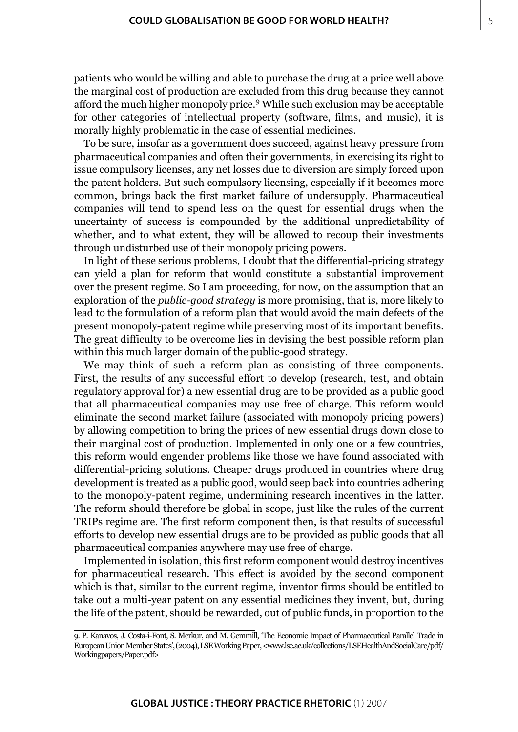patients who would be willing and able to purchase the drug at a price well above the marginal cost of production are excluded from this drug because they cannot afford the much higher monopoly price.<sup>9</sup> While such exclusion may be acceptable for other categories of intellectual property (software, films, and music), it is morally highly problematic in the case of essential medicines.

To be sure, insofar as a government does succeed, against heavy pressure from pharmaceutical companies and often their governments, in exercising its right to issue compulsory licenses, any net losses due to diversion are simply forced upon the patent holders. But such compulsory licensing, especially if it becomes more common, brings back the first market failure of undersupply. Pharmaceutical companies will tend to spend less on the quest for essential drugs when the uncertainty of success is compounded by the additional unpredictability of whether, and to what extent, they will be allowed to recoup their investments through undisturbed use of their monopoly pricing powers.

In light of these serious problems, I doubt that the differential-pricing strategy can yield a plan for reform that would constitute a substantial improvement over the present regime. So I am proceeding, for now, on the assumption that an exploration of the *public-good strategy* is more promising, that is, more likely to lead to the formulation of a reform plan that would avoid the main defects of the present monopoly-patent regime while preserving most of its important benefits. The great difficulty to be overcome lies in devising the best possible reform plan within this much larger domain of the public-good strategy.

We may think of such a reform plan as consisting of three components. First, the results of any successful effort to develop (research, test, and obtain regulatory approval for) a new essential drug are to be provided as a public good that all pharmaceutical companies may use free of charge. This reform would eliminate the second market failure (associated with monopoly pricing powers) by allowing competition to bring the prices of new essential drugs down close to their marginal cost of production. Implemented in only one or a few countries, this reform would engender problems like those we have found associated with differential-pricing solutions. Cheaper drugs produced in countries where drug development is treated as a public good, would seep back into countries adhering to the monopoly-patent regime, undermining research incentives in the latter. The reform should therefore be global in scope, just like the rules of the current TRIPs regime are. The first reform component then, is that results of successful efforts to develop new essential drugs are to be provided as public goods that all pharmaceutical companies anywhere may use free of charge.

Implemented in isolation, this first reform component would destroy incentives for pharmaceutical research. This effect is avoided by the second component which is that, similar to the current regime, inventor firms should be entitled to take out a multi-year patent on any essential medicines they invent, but, during the life of the patent, should be rewarded, out of public funds, in proportion to the

<sup>9.</sup> P. Kanavos, J. Costa-i-Font, S. Merkur, and M. Gemmill, 'The Economic Impact of Pharmaceutical Parallel Trade in European Union Member States', (2004), LSE Working Paper, <www.lse.ac.uk/collections/LSEHealthAndSocialCare/pdf/ Workingpapers/Paper.pdf>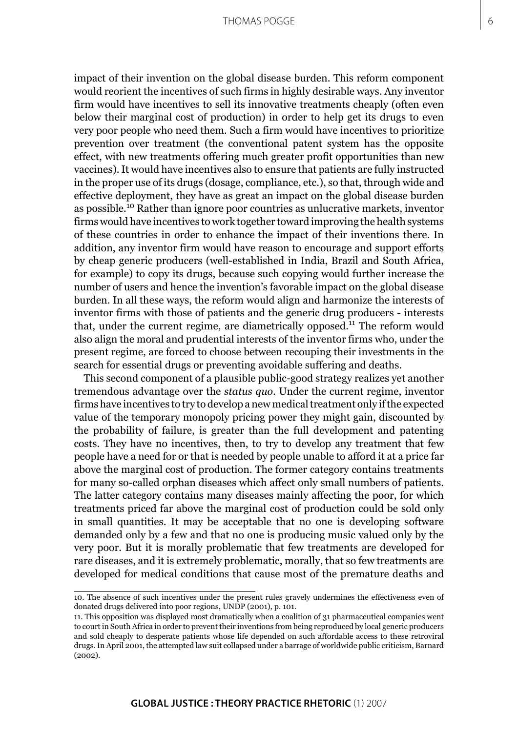impact of their invention on the global disease burden. This reform component would reorient the incentives of such firms in highly desirable ways. Any inventor firm would have incentives to sell its innovative treatments cheaply (often even below their marginal cost of production) in order to help get its drugs to even very poor people who need them. Such a firm would have incentives to prioritize prevention over treatment (the conventional patent system has the opposite effect, with new treatments offering much greater profit opportunities than new vaccines). It would have incentives also to ensure that patients are fully instructed in the proper use of its drugs (dosage, compliance, etc.), so that, through wide and effective deployment, they have as great an impact on the global disease burden as possible.<sup>10</sup> Rather than ignore poor countries as unlucrative markets, inventor firms would have incentives to work together toward improving the health systems of these countries in order to enhance the impact of their inventions there. In addition, any inventor firm would have reason to encourage and support efforts by cheap generic producers (well-established in India, Brazil and South Africa, for example) to copy its drugs, because such copying would further increase the number of users and hence the invention's favorable impact on the global disease burden. In all these ways, the reform would align and harmonize the interests of inventor firms with those of patients and the generic drug producers - interests that, under the current regime, are diametrically opposed.<sup>11</sup> The reform would also align the moral and prudential interests of the inventor firms who, under the present regime, are forced to choose between recouping their investments in the search for essential drugs or preventing avoidable suffering and deaths.

This second component of a plausible public-good strategy realizes yet another tremendous advantage over the *status quo*. Under the current regime, inventor firms have incentives to try to develop a new medical treatment only if the expected value of the temporary monopoly pricing power they might gain, discounted by the probability of failure, is greater than the full development and patenting costs. They have no incentives, then, to try to develop any treatment that few people have a need for or that is needed by people unable to afford it at a price far above the marginal cost of production. The former category contains treatments for many so-called orphan diseases which affect only small numbers of patients. The latter category contains many diseases mainly affecting the poor, for which treatments priced far above the marginal cost of production could be sold only in small quantities. It may be acceptable that no one is developing software demanded only by a few and that no one is producing music valued only by the very poor. But it is morally problematic that few treatments are developed for rare diseases, and it is extremely problematic, morally, that so few treatments are developed for medical conditions that cause most of the premature deaths and

<sup>10.</sup> The absence of such incentives under the present rules gravely undermines the effectiveness even of donated drugs delivered into poor regions, UNDP (2001), p. 101.

<sup>11.</sup> This opposition was displayed most dramatically when a coalition of 31 pharmaceutical companies went to court in South Africa in order to prevent their inventions from being reproduced by local generic producers and sold cheaply to desperate patients whose life depended on such affordable access to these retroviral drugs. In April 2001, the attempted law suit collapsed under a barrage of worldwide public criticism, Barnard (2002).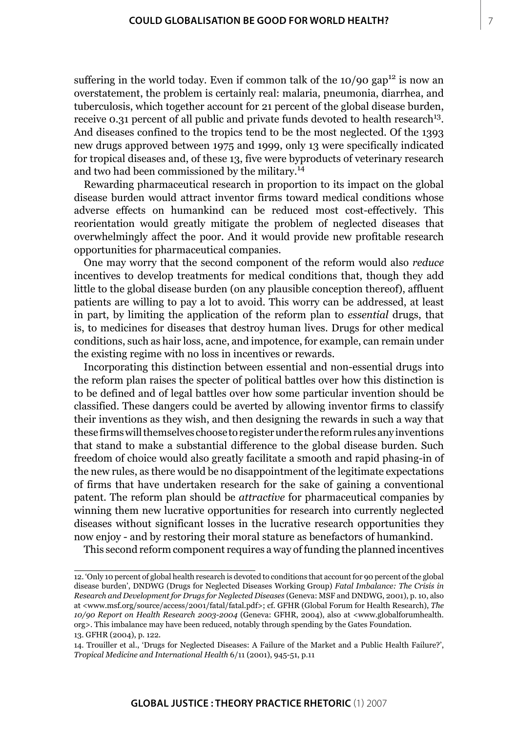suffering in the world today. Even if common talk of the  $10/90$  gap<sup>12</sup> is now an overstatement, the problem is certainly real: malaria, pneumonia, diarrhea, and tuberculosis, which together account for 21 percent of the global disease burden, receive 0.31 percent of all public and private funds devoted to health research<sup>13</sup>. And diseases confined to the tropics tend to be the most neglected. Of the 1393 new drugs approved between 1975 and 1999, only 13 were specifically indicated for tropical diseases and, of these 13, five were byproducts of veterinary research and two had been commissioned by the military.<sup>14</sup>

Rewarding pharmaceutical research in proportion to its impact on the global disease burden would attract inventor firms toward medical conditions whose adverse effects on humankind can be reduced most cost-effectively. This reorientation would greatly mitigate the problem of neglected diseases that overwhelmingly affect the poor. And it would provide new profitable research opportunities for pharmaceutical companies.

One may worry that the second component of the reform would also *reduce* incentives to develop treatments for medical conditions that, though they add little to the global disease burden (on any plausible conception thereof), affluent patients are willing to pay a lot to avoid. This worry can be addressed, at least in part, by limiting the application of the reform plan to *essential* drugs, that is, to medicines for diseases that destroy human lives. Drugs for other medical conditions, such as hair loss, acne, and impotence, for example, can remain under the existing regime with no loss in incentives or rewards.

Incorporating this distinction between essential and non-essential drugs into the reform plan raises the specter of political battles over how this distinction is to be defined and of legal battles over how some particular invention should be classified. These dangers could be averted by allowing inventor firms to classify their inventions as they wish, and then designing the rewards in such a way that these firms will themselves choose to register under the reform rules any inventions that stand to make a substantial difference to the global disease burden. Such freedom of choice would also greatly facilitate a smooth and rapid phasing-in of the new rules, as there would be no disappointment of the legitimate expectations of firms that have undertaken research for the sake of gaining a conventional patent. The reform plan should be *attractive* for pharmaceutical companies by winning them new lucrative opportunities for research into currently neglected diseases without significant losses in the lucrative research opportunities they now enjoy - and by restoring their moral stature as benefactors of humankind.

This second reform component requires a way of funding the planned incentives

<sup>12. &#</sup>x27;Only 10 percent of global health research is devoted to conditions that account for 90 percent of the global disease burden', DNDWG (Drugs for Neglected Diseases Working Group) *Fatal Imbalance: The Crisis in Research and Development for Drugs for Neglected Diseases* (Geneva: MSF and DNDWG, 2001), p. 10, also at <www.msf.org/source/access/2001/fatal/fatal.pdf>; cf. GFHR (Global Forum for Health Research), *The 10/90 Report on Health Research 2003-2004* (Geneva: GFHR, 2004), also at <www.globalforumhealth. org>. This imbalance may have been reduced, notably through spending by the Gates Foundation. 13. GFHR (2004), p. 122.

<sup>14.</sup> Trouiller et al., 'Drugs for Neglected Diseases: A Failure of the Market and a Public Health Failure?', *Tropical Medicine and International Health* 6/11 (2001), 945-51, p.11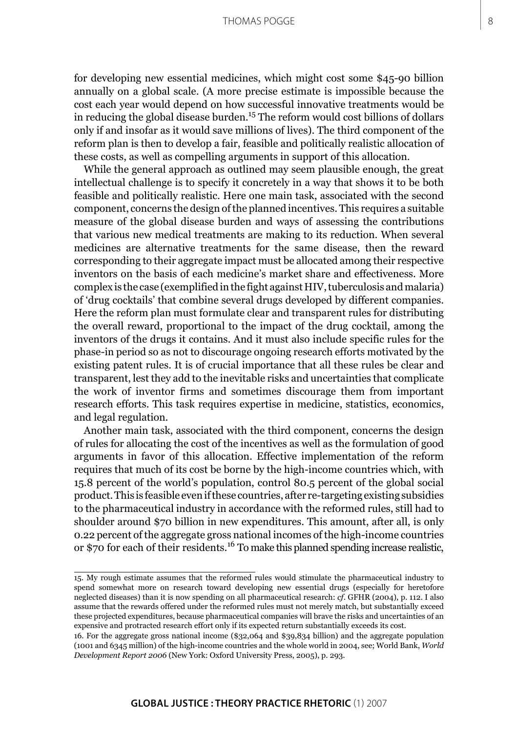## Thomas Pogge

for developing new essential medicines, which might cost some \$45-90 billion annually on a global scale. (A more precise estimate is impossible because the cost each year would depend on how successful innovative treatments would be in reducing the global disease burden.<sup>15</sup> The reform would cost billions of dollars only if and insofar as it would save millions of lives). The third component of the reform plan is then to develop a fair, feasible and politically realistic allocation of these costs, as well as compelling arguments in support of this allocation.

While the general approach as outlined may seem plausible enough, the great intellectual challenge is to specify it concretely in a way that shows it to be both feasible and politically realistic. Here one main task, associated with the second component, concerns the design of the planned incentives. This requires a suitable measure of the global disease burden and ways of assessing the contributions that various new medical treatments are making to its reduction. When several medicines are alternative treatments for the same disease, then the reward corresponding to their aggregate impact must be allocated among their respective inventors on the basis of each medicine's market share and effectiveness. More complex is the case (exemplified in the fight against HIV, tuberculosis and malaria) of 'drug cocktails' that combine several drugs developed by different companies. Here the reform plan must formulate clear and transparent rules for distributing the overall reward, proportional to the impact of the drug cocktail, among the inventors of the drugs it contains. And it must also include specific rules for the phase-in period so as not to discourage ongoing research efforts motivated by the existing patent rules. It is of crucial importance that all these rules be clear and transparent, lest they add to the inevitable risks and uncertainties that complicate the work of inventor firms and sometimes discourage them from important research efforts. This task requires expertise in medicine, statistics, economics, and legal regulation.

Another main task, associated with the third component, concerns the design of rules for allocating the cost of the incentives as well as the formulation of good arguments in favor of this allocation. Effective implementation of the reform requires that much of its cost be borne by the high-income countries which, with 15.8 percent of the world's population, control 80.5 percent of the global social product. This is feasible even if these countries, after re-targeting existing subsidies to the pharmaceutical industry in accordance with the reformed rules, still had to shoulder around \$70 billion in new expenditures. This amount, after all, is only 0.22 percent of the aggregate gross national incomes of the high-income countries or \$70 for each of their residents.<sup>16</sup> To make this planned spending increase realistic,

<sup>15.</sup> My rough estimate assumes that the reformed rules would stimulate the pharmaceutical industry to spend somewhat more on research toward developing new essential drugs (especially for heretofore neglected diseases) than it is now spending on all pharmaceutical research: *cf.* GFHR (2004), p. 112. I also assume that the rewards offered under the reformed rules must not merely match, but substantially exceed these projected expenditures, because pharmaceutical companies will brave the risks and uncertainties of an expensive and protracted research effort only if its expected return substantially exceeds its cost.

<sup>16.</sup> For the aggregate gross national income (\$32,064 and \$39,834 billion) and the aggregate population (1001 and 6345 million) of the high-income countries and the whole world in 2004, see; World Bank, *World Development Report 2006* (New York: Oxford University Press, 2005), p. 293.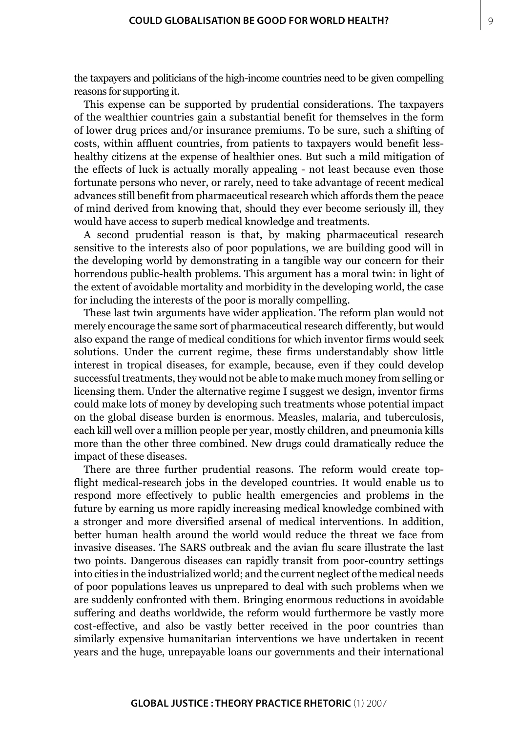the taxpayers and politicians of the high-income countries need to be given compelling reasons for supporting it.

This expense can be supported by prudential considerations. The taxpayers of the wealthier countries gain a substantial benefit for themselves in the form of lower drug prices and/or insurance premiums. To be sure, such a shifting of costs, within affluent countries, from patients to taxpayers would benefit lesshealthy citizens at the expense of healthier ones. But such a mild mitigation of the effects of luck is actually morally appealing - not least because even those fortunate persons who never, or rarely, need to take advantage of recent medical advances still benefit from pharmaceutical research which affords them the peace of mind derived from knowing that, should they ever become seriously ill, they would have access to superb medical knowledge and treatments.

A second prudential reason is that, by making pharmaceutical research sensitive to the interests also of poor populations, we are building good will in the developing world by demonstrating in a tangible way our concern for their horrendous public-health problems. This argument has a moral twin: in light of the extent of avoidable mortality and morbidity in the developing world, the case for including the interests of the poor is morally compelling.

These last twin arguments have wider application. The reform plan would not merely encourage the same sort of pharmaceutical research differently, but would also expand the range of medical conditions for which inventor firms would seek solutions. Under the current regime, these firms understandably show little interest in tropical diseases, for example, because, even if they could develop successful treatments, they would not be able to make much money from selling or licensing them. Under the alternative regime I suggest we design, inventor firms could make lots of money by developing such treatments whose potential impact on the global disease burden is enormous. Measles, malaria, and tuberculosis, each kill well over a million people per year, mostly children, and pneumonia kills more than the other three combined. New drugs could dramatically reduce the impact of these diseases.

There are three further prudential reasons. The reform would create topflight medical-research jobs in the developed countries. It would enable us to respond more effectively to public health emergencies and problems in the future by earning us more rapidly increasing medical knowledge combined with a stronger and more diversified arsenal of medical interventions. In addition, better human health around the world would reduce the threat we face from invasive diseases. The SARS outbreak and the avian flu scare illustrate the last two points. Dangerous diseases can rapidly transit from poor-country settings into cities in the industrialized world; and the current neglect of the medical needs of poor populations leaves us unprepared to deal with such problems when we are suddenly confronted with them. Bringing enormous reductions in avoidable suffering and deaths worldwide, the reform would furthermore be vastly more cost-effective, and also be vastly better received in the poor countries than similarly expensive humanitarian interventions we have undertaken in recent years and the huge, unrepayable loans our governments and their international